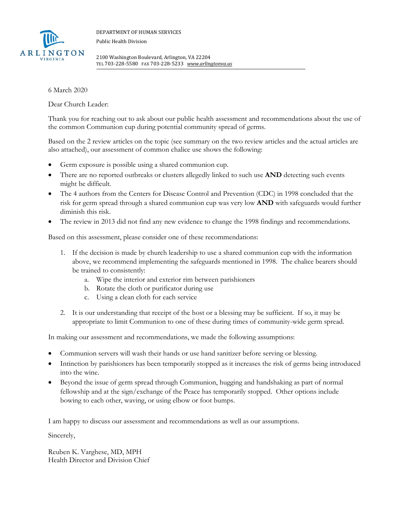

DEPARTMENT OF HUMAN SERVICES Public Health Division

2100 Washington Boulevard, Arlington, VA 22204 TEL 703‐228‐5580 FAX 703‐228‐5233 *www.arlingtonva.us*

6 March 2020

Dear Church Leader:

Thank you for reaching out to ask about our public health assessment and recommendations about the use of the common Communion cup during potential community spread of germs.

Based on the 2 review articles on the topic (see summary on the two review articles and the actual articles are also attached), our assessment of common chalice use shows the following:

- Germ exposure is possible using a shared communion cup.
- There are no reported outbreaks or clusters allegedly linked to such use **AND** detecting such events might be difficult.
- The 4 authors from the Centers for Disease Control and Prevention (CDC) in 1998 concluded that the risk for germ spread through a shared communion cup was very low **AND** with safeguards would further diminish this risk.
- The review in 2013 did not find any new evidence to change the 1998 findings and recommendations.

Based on this assessment, please consider one of these recommendations:

- 1. If the decision is made by church leadership to use a shared communion cup with the information above, we recommend implementing the safeguards mentioned in 1998. The chalice bearers should be trained to consistently:
	- a. Wipe the interior and exterior rim between parishioners
	- b. Rotate the cloth or purificator during use
	- c. Using a clean cloth for each service
- 2. It is our understanding that receipt of the host or a blessing may be sufficient. If so, it may be appropriate to limit Communion to one of these during times of community-wide germ spread.

In making our assessment and recommendations, we made the following assumptions:

- Communion servers will wash their hands or use hand sanitizer before serving or blessing.
- Intinction by parishioners has been temporarily stopped as it increases the risk of germs being introduced into the wine.
- Beyond the issue of germ spread through Communion, hugging and handshaking as part of normal fellowship and at the sign/exchange of the Peace has temporarily stopped. Other options include bowing to each other, waving, or using elbow or foot bumps.

I am happy to discuss our assessment and recommendations as well as our assumptions.

Sincerely,

Reuben K. Varghese, MD, MPH Health Director and Division Chief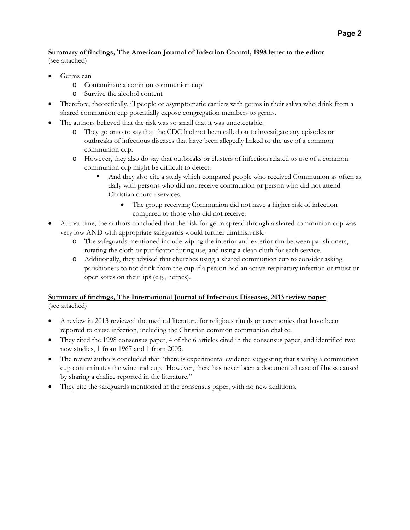## **Page 2**

## **Summary of findings, The American Journal of Infection Control, 1998 letter to the editor**  (see attached)

Germs can

- o Contaminate a common communion cup
- o Survive the alcohol content
- Therefore, theoretically, ill people or asymptomatic carriers with germs in their saliva who drink from a shared communion cup potentially expose congregation members to germs.
- The authors believed that the risk was so small that it was undetectable.
	- o They go onto to say that the CDC had not been called on to investigate any episodes or outbreaks of infectious diseases that have been allegedly linked to the use of a common communion cup.
	- o However, they also do say that outbreaks or clusters of infection related to use of a common communion cup might be difficult to detect.
		- And they also cite a study which compared people who received Communion as often as daily with persons who did not receive communion or person who did not attend Christian church services.
			- The group receiving Communion did not have a higher risk of infection compared to those who did not receive.
- At that time, the authors concluded that the risk for germ spread through a shared communion cup was very low AND with appropriate safeguards would further diminish risk.
	- o The safeguards mentioned include wiping the interior and exterior rim between parishioners, rotating the cloth or purificator during use, and using a clean cloth for each service.
	- o Additionally, they advised that churches using a shared communion cup to consider asking parishioners to not drink from the cup if a person had an active respiratory infection or moist or open sores on their lips (e.g., herpes).

## **Summary of findings, The International Journal of Infectious Diseases, 2013 review paper**  (see attached)

- A review in 2013 reviewed the medical literature for religious rituals or ceremonies that have been reported to cause infection, including the Christian common communion chalice.
- They cited the 1998 consensus paper, 4 of the 6 articles cited in the consensus paper, and identified two new studies, 1 from 1967 and 1 from 2005.
- The review authors concluded that "there is experimental evidence suggesting that sharing a communion cup contaminates the wine and cup. However, there has never been a documented case of illness caused by sharing a chalice reported in the literature."
- They cite the safeguards mentioned in the consensus paper, with no new additions.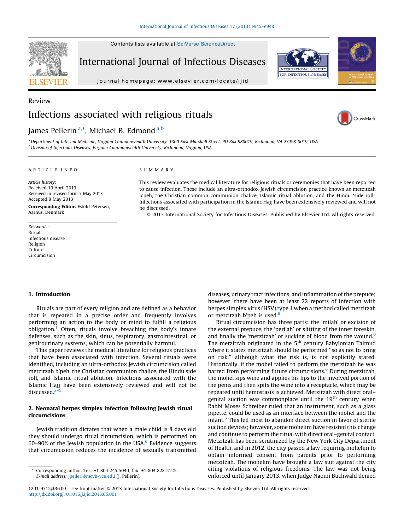SEVIE

Contents lists available at SciVerse ScienceDirect

International Journal of Infectious Diseases



journal homepa ge: www.elsevier.com/locate/ijid

# Review Infections associated with religious rituals

## James Pellerin<sup>a,\*</sup>, Michael B. Edmond<sup>a,b</sup>

CrossMark

a Department of Internal Medicine, Virginia Commonwealth University, 1300 East Marshall Street, PO Box 980019, Richmond, VA 23298-0019, USA <sup>b</sup> Division of Infectious Diseases, Virginia Commonwealth University, Richmond, Virginia, USA

#### A R T I C L E I N F O

Article history: Received 10 April 2013 Received in revised form 7 May 2013 Accepted 8 May 2013

Corresponding Editor: Eskild Petersen, Aarhus, Denmark

Keywords: Ritual Infectious disease Religion Culture Circumcision

#### S U M M A R Y

This review evaluates the medical literature for religious rituals or ceremonies that have been reported to cause infection. These include an ultra-orthodox Jewish circumcision practice known as metzitzah b'peh, the Christian common communion chalice, Islamic ritual ablution, and the Hindu 'side-roll'. Infections associated with participation in the Islamic Hajj have been extensively reviewed and will not be discussed.

- 2013 International Society for Infectious Diseases. Published by Elsevier Ltd. All rights reserved.

#### 1. Introduction

Rituals are part of every religion and are defined as a behavior that is repeated in a precise order and frequently involves performing an action to the body or mind to fulfill a religious  $obligation.<sup>1</sup>$  Often, rituals involve breaching the body's innate defenses, such as the skin, sinus, respiratory, gastrointestinal, or genitourinary systems, which can be potentially harmful.

This paper reviews the medical literature for religious practices that have been associated with infection. Several rituals were identified, including an ultra-orthodox Jewish circumcision called metzitzah b'peh, the Christian communion chalice, the Hindu side roll, and Islamic ritual ablution. Infections associated with the Islamic Hajj have been extensively reviewed and will not be discussed. $2$ 

### 2. Neonatal herpes simplex infection following Jewish ritual circumcisions

Jewish tradition dictates that when a male child is 8 days old they should undergo ritual circumcision, which is performed on 60–90% of the Jewish population in the USA. $6$  Evidence suggests that circumcision reduces the incidence of sexually transmitted diseases, urinary tract infections, and inflammation of the prepuce; however, there have been at least 22 reports of infection with herpes simplex virus (HSV) type 1 when a method called metzitzah or metzitzah b'peh is used. $<sup>6</sup>$ </sup>

Ritual circumcision has three parts: the 'milah' or excision of the external prepuce, the 'peri'ah' or slitting of the inner foreskin, and finally the 'metzitzah' or sucking of blood from the wound. $6$ The metzitzah originated in the 5<sup>th</sup> century Babylonian Talmud where it states metzitzah should be performed ''so as not to bring on risk,'' although what the risk is, is not explicitly stated. Historically, if the mohel failed to perform the metzitzah he was barred from performing future circumcisions.<sup>6</sup> During metzitzah, the mohel sips wine and applies his lips to the involved portion of the penis and then spits the wine into a receptacle, which may be repeated until hemostasis is achieved. Metzitzah with direct oral– genital suction was commonplace until the 19<sup>th</sup> century when Rabbi Moses Schreiber ruled that an instrument, such as a glass pipette, could be used as an interface between the mohel and the infant.<sup>6</sup> This led most to abandon direct suction in favor of sterile suction devices; however, some mohelim have resisted this change and continue to perform the ritual with direct oral–genital contact. Metzitzah has been scrutinized by the New York City Department of Health, and in 2012, the city passed a law requiring mohelim to obtain informed consent from parents prior to performing metzitzah. The mohelim have brought a law suit against the city citing violations of religious freedoms. The law was not being enforced until January 2013, when Judge Naomi Buchwald denied

Corresponding author. Tel.: +1 804 245 5040; fax: +1 804 828 2125. E-mail address: jpelleri@mcvh-vcu.edu (J. Pellerin).

<sup>1201-9712/\$36.00 -</sup> see front matter © 2013 International Society for Infectious Diseases. Published by Elsevier Ltd. All rights reserved. http://dx.doi.org/10.1016/j.ijid.2013.05.001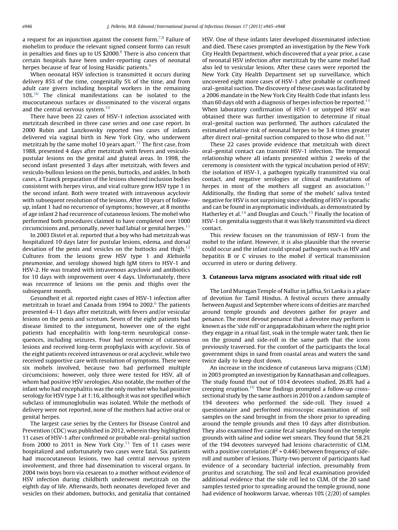a request for an injunction against the consent form.<sup>7,8</sup> Failure of mohelim to produce the relevant signed consent forms can result in penalties and fines up to US  $$2000.<sup>8</sup>$  There is also concern that certain hospitals have been under-reporting cases of neonatal herpes because of fear of losing Hasidic patients.<sup>9</sup>

When neonatal HSV infection is transmitted it occurs during delivery 85% of the time, congenitally 5% of the time, and from adult care givers including hospital workers in the remaining 10%.<sup>10</sup> The clinical manifestations can be isolated to the mucocutaneous surfaces or disseminated to the visceral organs and the central nervous system.<sup>10</sup>

There have been 22 cases of HSV-1 infection associated with metzitzah described in three case series and one case report. In 2000 Rubin and Lanzkowsky reported two cases of infants delivered via vaginal birth in New York City, who underwent metzitzah by the same mohel 10 years apart.<sup>11</sup> The first case, from 1988, presented 4 days after metzitzah with fevers and vesiculopustular lesions on the genital and gluteal areas. In 1998, the second infant presented 3 days after metzitzah, with fevers and vesiculo-bullous lesions on the penis, buttocks, and ankles. In both cases, a Tzanck preparation of the lesions showed inclusion bodies consistent with herpes virus, and viral culture grew HSV type 1 in the second infant. Both were treated with intravenous acyclovir with subsequent resolution of the lesions. After 10 years of followup, infant 1 had no recurrence of symptoms; however, at 8 months of age infant 2 had recurrence of cutaneous lesions. The mohel who performed both procedures claimed to have completed over 1000 circumcisions and, personally, never had labial or genital herpes. $11$ 

In 2003 Distel et al. reported that a boy who had metzitzah was hospitalized 10 days later for pustular lesions, edema, and dorsal deviation of the penis and vesicles on the buttocks and thigh.<sup>12</sup> Cultures from the lesions grew HSV type 1 and Klebsiella pneumoniae, and serology showed high IgM titers to HSV-1 and HSV-2. He was treated with intravenous acyclovir and antibiotics for 10 days with improvement over 4 days. Unfortunately, there was recurrence of lesions on the penis and thighs over the subsequent month.

Gesundheit et al. reported eight cases of HSV-1 infection after metzitzah in Israel and Canada from 1994 to 2002.<sup>6</sup> The patients presented 4–11 days after metzitzah, with fevers and/or vesicular lesions on the penis and scrotum. Seven of the eight patients had disease limited to the integument, however one of the eight patients had encephalitis with long-term neurological consequences, including seizures. Four had recurrence of cutaneous lesions and received long-term prophylaxis with acyclovir. Six of the eight patients received intravenous or oral acyclovir, while two received supportive care with resolution of symptoms. There were six mohels involved, because two had performed multiple circumcisions; however, only three were tested for HSV, all of whom had positive HSV serologies. Also notable, the mother of the infant who had encephalitis was the only mother who had positive serology for HSV type 1 at 1:16, although it was not specified which subclass of immunoglobulin was isolated. While the methods of delivery were not reported, none of the mothers had active oral or genital herpes.

The largest case series by the Centers for Disease Control and Prevention (CDC) was published in 2012, wherein they highlighted 11 cases of HSV-1 after confirmed or probable oral–genital suction from 2000 to 2011 in New York City. $13$  Ten of 11 cases were hospitalized and unfortunately two cases were fatal. Six patients had mucocutaneous lesions, two had central nervous system involvement, and three had dissemination to visceral organs. In 2004 twin boys born via cesarean to a mother without evidence of HSV infection during childbirth underwent metzitzah on the eighth day of life. Afterwards, both neonates developed fever and vesicles on their abdomen, buttocks, and genitalia that contained HSV. One of these infants later developed disseminated infection and died. These cases prompted an investigation by the New York City Health Department, which discovered that a year prior, a case of neonatal HSV infection after metzitzah by the same mohel had also led to vesicular lesions. After these cases were reported the New York City Health Department set up surveillance, which uncovered eight more cases of HSV-1 after probable or confirmed oral–genital suction. The discovery of these cases was facilitated by a 2006 mandate in the New York City Health Code that infants less than 60 days old with a diagnosis of herpes infection be reported.<sup>13</sup> When laboratory confirmation of HSV-1 or untyped HSV was obtained there was further investigation to determine if ritual oral–genital suction was performed. The authors calculated the estimated relative risk of neonatal herpes to be 3.4 times greater after direct oral–genital suction compared to those who did not.<sup>13</sup>

These 22 cases provide evidence that metzitzah with direct oral–genital contact can transmit HSV-1 infection. The temporal relationship where all infants presented within 2 weeks of the ceremony is consistent with the typical incubation period of HSV; the isolation of HSV-1, a pathogen typically transmitted via oral contact, and negative serologies or clinical manifestations of herpes in most of the mothers all suggest an association. $11$ Additionally, the finding that some of the mohels' saliva tested negative for HSV is not surprising since shedding of HSV is sporadic and can be found in asymptomatic individuals, as demonstrated by Hatherley et al.<sup>14</sup> and Douglas and Couch.<sup>15</sup> Finally the location of HSV-1 on genitalia suggests that it was likely transmitted via direct contact.

This review focuses on the transmission of HSV-1 from the mohel to the infant. However, it is also plausible that the reverse could occur and the infant could spread pathogens such as HIV and hepatitis B or C viruses to the mohel if vertical transmission occurred in utero or during delivery.

#### 3. Cutaneous larva migrans associated with ritual side roll

The Lord Murugan Temple of Nallur in Jaffna, Sri Lanka is a place of devotion for Tamil Hindus. A festival occurs there annually between August and September where icons of deities are marched around temple grounds and devotees gather for prayer and penance. The most devout penance that a devotee may perform is known as the 'side roll' or angapradakshinam where the night prior they engage in a ritual fast, soak in the temple water tank, then lie on the ground and side-roll in the same path that the icons previously traversed. For the comfort of the participants the local government ships in sand from coastal areas and waters the sand twice daily to keep dust down.

An increase in the incidence of cutaneous larva migrans (CLM) in 2003 prompted an investigation by Kannathasan and colleagues. The study found that out of 1014 devotees studied, 26.8% had a creeping eruption.<sup>16</sup> These findings prompted a follow-up crosssectional study by the same authors in 2010 on a random sample of 194 devotees who performed the side-roll. They issued a questionnaire and performed microscopic examination of soil samples on the sand brought in from the shore prior to spreading around the temple grounds and then 10 days after distribution. They also examined five canine fecal samples found on the temple grounds with saline and iodine wet smears. They found that 58.2% of the 194 devotees surveyed had lesions characteristic of CLM, with a positive correlation ( $R^2$  = 0.446) between frequency of sideroll and number of lesions. Thirty-two percent of participants had evidence of a secondary bacterial infection, presumably from pruritus and scratching. The soil and fecal examination provided additional evidence that the side roll led to CLM. Of the 20 sand samples tested prior to spreading around the temple ground, none had evidence of hookworm larvae, whereas 10% (2/20) of samples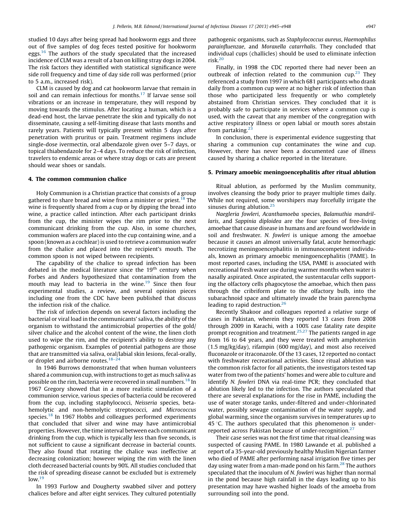studied 10 days after being spread had hookworm eggs and three out of five samples of dog feces tested positive for hookworm eggs.<sup>16</sup> The authors of the study speculated that the increased incidence of CLM was a result of a ban on killing stray dogs in 2004. The risk factors they identified with statistical significance were side roll frequency and time of day side roll was performed (prior to 5 a.m., increased risk).

CLM is caused by dog and cat hookworm larvae that remain in soil and can remain infectious for months.<sup>17</sup> If larvae sense soil vibrations or an increase in temperature, they will respond by moving towards the stimulus. After locating a human, which is a dead-end host, the larvae penetrate the skin and typically do not disseminate, causing a self-limiting disease that lasts months and rarely years. Patients will typically present within 5 days after penetration with pruritus or pain. Treatment regimens include single-dose ivermectin, oral albendazole given over 5–7 days, or topical thiabendazole for 2–4 days. To reduce the risk of infection, travelers to endemic areas or where stray dogs or cats are present should wear shoes or sandals.

#### 4. The common communion chalice

Holy Communion is a Christian practice that consists of a group gathered to share bread and wine from a minister or priest.<sup>18</sup> The wine is frequently shared from a cup or by dipping the bread into wine, a practice called intinction. After each participant drinks from the cup, the minister wipes the rim prior to the next communicant drinking from the cup. Also, in some churches, communion wafers are placed into the cup containing wine, and a spoon (known as a cochlear) is used to retrieve a communion wafer from the chalice and placed into the recipient's mouth. The common spoon is not wiped between recipients.

The capability of the chalice to spread infection has been debated in the medical literature since the  $19<sup>th</sup>$  century when Forbes and Anders hypothesized that contamination from the mouth may lead to bacteria in the wine.<sup>19</sup> Since then four experimental studies, a review, and several opinion pieces including one from the CDC have been published that discuss the infection risk of the chalice.

The risk of infection depends on several factors including the bacterial or viral load in the communicants' saliva, the ability of the organism to withstand the antimicrobial properties of the gold/ silver chalice and the alcohol content of the wine, the linen cloth used to wipe the rim, and the recipient's ability to destroy any pathogenic organism. Examples of potential pathogens are those that are transmitted via saliva, oral/labial skin lesions, fecal-orally, or droplet and airborne routes.<sup>18–24</sup>

In 1946 Burrows demonstrated that when human volunteers shared a communion cup, with instructions to get as much saliva as possible on the rim, bacteria were recovered in small numbers.18 In 1967 Gregory showed that in a more realistic simulation of a communion service, various species of bacteria could be recovered from the cup, including staphylococci, Neisseria species, betahemolytic and non-hemolytic streptococci, and Micrococcus species.<sup>18</sup> In 1967 Hobbs and colleagues performed experiments that concluded that silver and wine may have antimicrobial properties. However, the time interval between each communicant drinking from the cup, which is typically less than five seconds, is not sufficient to cause a significant decrease in bacterial counts. They also found that rotating the chalice was ineffective at decreasing colonization; however wiping the rim with the linen cloth decreased bacterial counts by 90%. All studies concluded that the risk of spreading disease cannot be excluded but is extremely  $low.<sup>19</sup>$ 

In 1993 Furlow and Dougherty swabbed silver and pottery chalices before and after eight services. They cultured potentially pathogenic organisms, such as Staphylococcus aureus, Haemophilus parainfluenzae, and Moraxella catarrhalis. They concluded that individual cups (challicles) should be used to eliminate infection risk.20

Finally, in 1998 the CDC reported there had never been an outbreak of infection related to the communion  $cup^{23}$  They referenced a study from 1997 in which 681 participants who drank daily from a common cup were at no higher risk of infection than those who participated less frequently or who completely abstained from Christian services. They concluded that it is probably safe to participate in services where a common cup is used, with the caveat that any member of the congregation with active respiratory illness or open labial or mouth sores abstain from partaking. $23$ 

In conclusion, there is experimental evidence suggesting that sharing a communion cup contaminates the wine and cup. However, there has never been a documented case of illness caused by sharing a chalice reported in the literature.

#### 5. Primary amoebic meningoencephalitis after ritual ablution

Ritual ablution, as performed by the Muslim community, involves cleansing the body prior to prayer multiple times daily. While not required, some worshipers may forcefully irrigate the sinuses during ablution.<sup>25</sup>

Naegleria fowleri, Acanthamoeba species, Balamuthia mandrillaris, and Sappinia diploidea are the four species of free-living amoebae that cause disease in humans and are found worldwide in soil and freshwater. N. fowleri is unique among the amoebae because it causes an almost universally fatal, acute hemorrhagic necrotizing meningoencephalitis in immunocompetent individuals, known as primary amoebic meningoencephalitis (PAME). In most reported cases, including the USA, PAME is associated with recreational fresh water use during warmer months when water is nasally aspirated. Once aspirated, the sustentacular cells supporting the olfactory cells phagocytose the amoebae, which then pass through the cribriform plate to the olfactory bulb, into the subarachnoid space and ultimately invade the brain parenchyma leading to rapid destruction.<sup>26</sup>

Recently Shakoor and colleagues reported a relative surge of cases in Pakistan, wherein they reported 13 cases from 2008 through 2009 in Karachi, with a 100% case fatality rate despite prompt recognition and treatment.<sup>25,27</sup> The patients ranged in age from 16 to 64 years, and they were treated with amphotericin (1.5 mg/kg/day), rifampin (600 mg/day), and most also received fluconazole or itraconazole. Of the 13 cases, 12 reported no contact with freshwater recreational activities. Since ritual ablution was the common risk factor for all patients, the investigators tested tap water from two of the patients' homes and were able to culture and identify N. fowleri DNA via real-time PCR; they concluded that ablution likely led to the infection. The authors speculated that there are several explanations for the rise in PAME, including the use of water storage tanks, under-filtered and under-chlorinated water, possibly sewage contamination of the water supply, and global warming, since the organism survives in temperatures up to 45  $\degree$ C. The authors speculated that this phenomenon is underreported across Pakistan because of under-recognition.<sup>27</sup>

Their case series was not the first time that ritual cleansing was suspected of causing PAME. In 1980 Lawande et al. published a report of a 35-year-old previously healthy Muslim Nigerian farmer who died of PAME after performing nasal irrigation five times per day using water from a man-made pond on his farm.<sup>28</sup> The authors speculated that the inoculum of N. fowleri was higher than normal in the pond because high rainfall in the days leading up to his presentation may have washed higher loads of the amoeba from surrounding soil into the pond.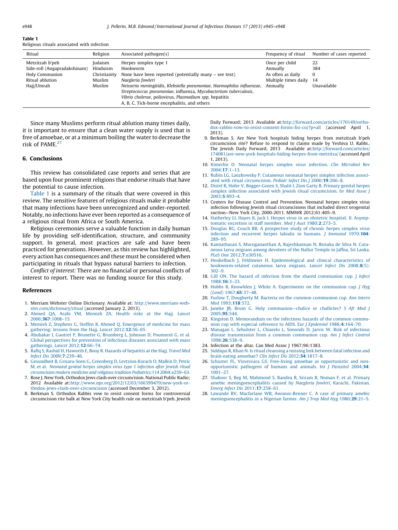#### Table 1

Religious rituals associated with infection

| Ritual                                                                                             | Religion                                                | Associated pathogen(s)                                                                                                                                                                                                                                                                                                                                                  | Frequency of ritual                                                                 | Number of cases reported       |
|----------------------------------------------------------------------------------------------------|---------------------------------------------------------|-------------------------------------------------------------------------------------------------------------------------------------------------------------------------------------------------------------------------------------------------------------------------------------------------------------------------------------------------------------------------|-------------------------------------------------------------------------------------|--------------------------------|
| Metzitzah b'peh<br>Side-roll (Angapradakshinam)<br>Holy Communion<br>Ritual ablution<br>Hajj/Umrah | Judaism<br>Hinduism<br>Christianity<br>Muslim<br>Muslim | Herpes simplex type 1<br>Hookworm<br>None have been reported (potentially many – see text)<br>Naegleria fowleri<br>Neisseria meningitidis, Klebsiella pneumoniae, Haemophilus influenzae,<br>Streptococcus pneumoniae, influenza, Mycobacterium tuberculosis,<br>Vibrio cholerae, poliovirus, Plasmodium spp, hepatitis<br>A, B, C, Tick-borne encephalitis, and others | Once per child<br>Annually<br>As often as daily<br>Multiple times daily<br>Annually | 22<br>384<br>14<br>Unavailable |

Since many Muslims perform ritual ablution many times daily, it is important to ensure that a clean water supply is used that is free of amoebae, or at a minimum boiling the water to decrease the risk of PAME.<sup>27</sup>

#### 6. Conclusions

This review has consolidated case reports and series that are based upon four prominent religions that endorse rituals that have the potential to cause infection.

Table 1 is a summary of the rituals that were covered in this review. The sensitive features of religious rituals make it probable that many infections have been unrecognized and under-reported. Notably, no infections have ever been reported as a consequence of a religious ritual from Africa or South America.

Religious ceremonies serve a valuable function in daily human life by providing self-identification, structure, and community support. In general, most practices are safe and have been practiced for generations. However, as this review has highlighted, every action has consequences and these must be considered when participating in rituals that bypass natural barriers to infection.

Conflict of interest: There are no financial or personal conflicts of interest to report. There was no funding source for this study.

#### References

- 1. Merriam Webster Online Dictionary. Available at: http://www.merriam-webster.com/dictionary/ritual (accessed January 2, 2013).
- 2. Ahmed QA, Arabi YM, Memish ZA. Health risks at the Hajj. Lancet 2006;367:1008–15.
- 3. Memish Z, Stephens G, Steffen R, Ahmed Q. Emergence of medicine for mass gathering: lessons from the Hajj. Lancet 2012;12:56–65.
- 4. Abubakar I, Gautret P, Brunette G, Brumberg L, Johnson D, Poumerol G, et al. Global perspectives for prevention of infectious diseases associated with mass gatherings. Lancet 2012;12:66-74.
- 5. Rafiq S, Rashid H, Haworth E, Booy R. Hazards of hepatitis at the Hajj. Travel Med Infect Dis 2009;7:239–46.
- 6. Gesundheit B, Grisaru-Soen G, Greenberg D, Levtzion-Korach O, Malkin D, Petric M, et al. Neonatal genital herpes simplex virus type 1 infection after Jewish ritual circumcision modern medicine and religious tradition Pediatrics;114 2004;e259–63.
- 7. Rose J. New York, Orthodox Jews clash over circumcision. National Public Radio; 2012 Available at:http://www.npr.org/2012/12/03/166399479/new-york-orthodox-jews-clash-over-circumcision (accessed December 3, 2012).
- 8. Berkman S. Orthodox Rabbis vow to resist consent forms for controversial circumcision rite balk at New York City health rule on metzitzah b'peh. Jewish

Daily Forward; 2013 Available at:http://forward.com/articles/170149/orthodox-rabbis-vow-to-resist-consent-forms-for-co/?p=all (accessed April 1, 2013).

- 9. Berkman S. Are New York hospitals hiding herpes from metzitzah b'peh circumcision rite? Refuse to respond to claims made by Yeshiva U. Rabbi.. The Jewish Daily Forward; 2013 Available at:http://forward.com/articles/ 174081/are-new-york-hospitals-hiding-herpes-from-metzitza/ (accessed April 1, 2013).
- 10. Kimerlin D. Neonatal herpes simplex virus infection. Clin Microbiol Rev 2004;17:1–13.
- 11. Rubin LG, Lanzkowsky P. Cutaneous neonatal herpes simplex infection associated with ritual circumcision. Pediatr Infect Dis  $\overline{1,2000:19:266-8}$ .
- 12. Distel R, Hofer V, Bogger-Goren S, Shalit I, Zion Garty B. Primary genital herpes simplex infection associated with Jewish ritual circumcision. Isr Med Assoc J 2003;5:893–4.
- 13. Centers for Disease Control and Prevention. Neonatal herpes simplex virus infection following Jewish ritual circumcisions that included direct orogenital suction—New York City, 2000-2011. MMWR 2012;61:405–9.
- 14. Hatherley LI, Hayes K, Jack I. Herpes virus in an obstetric hospital: II. Asymptomatic excretion in staff member. Med J Aust 1980;2:273–5.
- 15. Douglas RG, Couch RB. A prospective study of chronic herpes simplex virus infection and recurrent herpes labialis in humans. J Immunol 1970;104: 289–95.
- 16. Kannathasan S, Murugananthan A, Rajeshkannan N, Renuka de Silva N. Cutaneous larva migrans among devotees of the Nallur Temple in Jaffna, Sri Lanka. PLoS One 2012;7:e30516.
- 17. Heukelbach J, Feldmeier H. Epidemiological and clinical characteristics of hookworm-related cutaneous larva migrans. Lancet Infect Dis 2008;8(5): 302–9.
- 18. Gill ON. The hazard of infection from the shared communion cup. *J Infect* 1988;16:3–23.
- 19. Hobbs B, Knowlden J, White A. Experiments on the communion cup. J Hyg (Lond) 1967;65:37–48.
- 20. Furlow T, Dougherty M. Bacteria on the common communion cup. Ann Intern Med 1993:118:572
- 21. Janeke JB, Bruin G. Holy communion-chalice or challicles? S Afr Med J 2005;95:544.
- 22. Kingston D. Memorandum on the infections hazards of the common communion cup with especial reference to AIDS. Eur J Epidemiol 1988;4:164–70.
- 23. Managan L, Sehulster L, Chiarelo L, Simonds D, Jarvis W. Risk of infectious disease transmission from a common communion cup. Am J Infect Control 1998;26:538–9.
- 24. Infection at the altar. Can Med Assoc J 1967;96:1383.
- 25. Siddiqui R, Khan N. Is ritual cleansing a missing link between fatal infection and brain-eating amoebae? Clin Infect Dis 2012;54:1817–8.
- 26. Schuster FL, Visvesvara GS. Free-living amoebae as opportunistic and nonopportunistic pathogens of humans and animals. Int J Parasitol 2004;34: 1001–27.
- 27. Shakoor S, Beg M, Mahmood S, Bandea R, Sriram R, Noman F, et al. Primary amebic meningoencephalitis caused by Naegleria fowleri, Karachi, Pakistan. Emerg Infect Dis 2011;17:258–61.
- 28. Lawande RV, Macfarlane WR, Awunor-Renner C. A case of primary amebic meningoencephalitis in a Nigerian farmer. Am J Trop Med Hyg 1980;29:21-5.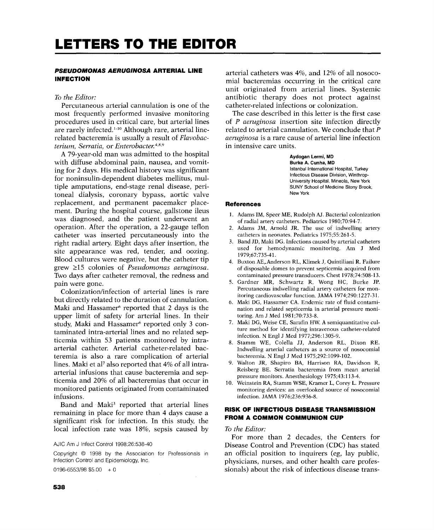## *PSEUDOMONAS AERUGINOSA* **ARTERIAL LINE INFECTION**

## *To the Editor:*

Percutaneous arterial cannulation is one of the most frequently performed invasive monitoring procedures used in critical care, but arterial lines are rarely infected. 1-1° Although rare, arterial linerelated bacteremia is usually a result of *Flavobacterium, Serratia,* or *Enterobacter. 4,8,9* 

A 79-year-old man was admitted to the hospital with diffuse abdominal pain, nausea, and vomiting for 2 days. His medical history was significant for noninsulin-dependent diabetes mellitus, multiple amputations, end-stage renal disease, peritoneal dialysis, coronary bypass, aortic valve replacement, and permanent pacemaker placement. During the hospital course, gallstone ileus was diagnosed, and the patient underwent an operation. After the operation, a 22-gauge teflon catheter was inserted percutaneously into the right radial artery. Eight days after insertion, the site appearance was red, tender, and oozing. Blood cultures were negative, but the catheter tip grew \_>15 colonies of *Pseudomonas aeruginosa.*  Two days after catheter removal, the redness and pain were gone.

Colonization/infection of arterial lines is rare but directly related to the duration of cannulation. Maki and Hassamer<sup>6</sup> reported that 2 days is the upper limit of safety for arterial lines. In their study, Maki and Hassamer<sup>6</sup> reported only 3 contaminated intra-arterial lines and no related septicemia within 53 patients monitored by intraarterial catheter. Arterial catheter-related bacteremia is also a rare complication of arterial lines. Maki et al<sup>7</sup> also reported that  $4\%$  of all intraarterial infusions that cause bacteremia and septicemia and 20% of all bacteremias that occur in monitored patients originated from contaminated infusions.

Band and Maki<sup>3</sup> reported that arterial lines remaining in place for more than 4 days cause a significant risk for infection. In this study, the local infection rate was 18%, sepsis caused by

AJIC Am J Infect Control 1998;26:538-40

Copyright © 1998 by the Association for Professionals in Infection Control and Epidemiology, Inc.

 $0196 - 6553/98$  \$5.00 + 0

arterial catheters was 4%, and 12% of all nosocomial bacteremias occurring in the critical care unit originated from arterial lines. Systemic antibiotic therapy does not protect against catheter-related infections or colonization.

The case described in this letter is the first case of *P aeruginosa* insertion site infection directly related to arterial cannulation. We conclude that P *aeruginosa* is a rare cause of arterial line infection in intensive care units.

> **Aydogan Lermi, MD Burke A. Cunha, MD**  Istanbul **International Hospital,** Turkey **Infectious Disease Division, Winthrop-University Hospital,** Mineola, New York SUNY **School of Medicine Stony** Brook, New York

#### **References**

- 1. Adams IM, Speer ME, Rudolph AJ. Bacterial colonization of radial artery catheters. Pediatrics 1980;70:94-7.
- Adams JM, Arnold JR. The use of indwelling artery catheters in neonates. Pediatrics 1975;55:261-5.
- 3. Band JD, Maki DG. Infections caused by arterial catheters used for hemodynamic monitoring. Am J Med 1979;67:735-41.
- 4. Buxton AE~Anderson RL, Klimek J, Quintiliani R. Failure of disposable domes **to** prevent septicemia acquired from contaminated pressure transducers. Chest 1978;74:508-13.
- 5. Gardner MR, Schwartz R, Wong HC, Burke JR Percutaneous indwelling radial artery catheters for monitoring cardiovascular function. JAMA 1974;290:1227-31.
- 6. Maki DG, Hassamer CA. Endemic rate of fluid contamination and related septicemia in arterial pressure monitoring. Am J Med 1981;70:733-8.
- 7. Maki DG, Weise CE, Sarafin HW. A semiquantitative culture method for identifying intravenous catheter-related infection. N Engl J Med 1977;296:1305-9.
- 8. Stamm WE, Colella JJ, Anderson RL, Dixon RE. Indwelling arterial catheters as a source of nosocomial bacteremia. N Engl J Med 1975;292:1099-102.
- 9. Walton JR, Shapiro BA, Harrison RA, Davidson R, Reisberg BE. Serratia bacteremia from mean arterial pressure monitors. Anesthesiology 1975;43:113-4.
- 10. Weinstein RA, Stamm WSE, Kramer L, Corey L. Pressure monitoring devices: an overlooked source of nosocomial infection. JAMA 1976;236:936-8.

## **RISK OF INFECTIOUS DISEASE TRANSMISSION FROM A COMMON COMMUNION CUP**

### *To the Editor:*

For more than 2 decades, the Centers for Disease Control and Prevention (CDC) has stated an official position to inquirers (eg, lay public, physicians, nurses, and other health care professionals) about the risk of infectious disease trans